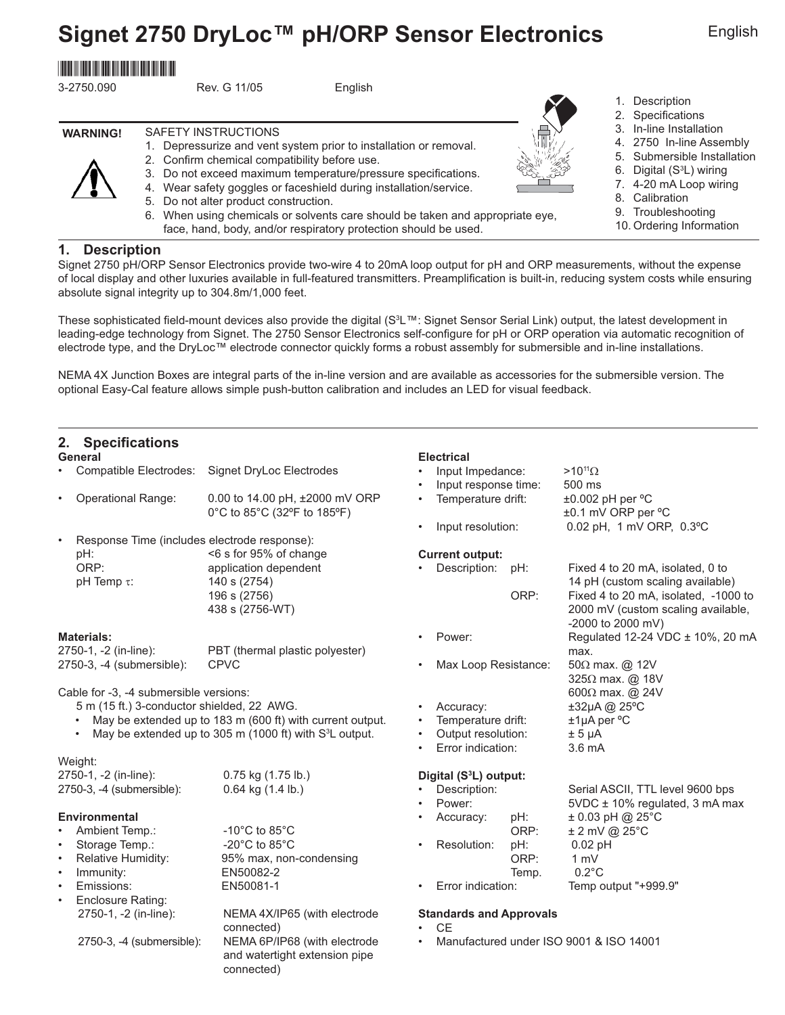# **Signet 2750 DryLoc™ pH/ORP Sensor Electronics**

# \*3-2750.090\*

| 3-2750.090      | Rev. G 11/05<br>English                                                                                 |  |  |  |  |
|-----------------|---------------------------------------------------------------------------------------------------------|--|--|--|--|
|                 |                                                                                                         |  |  |  |  |
| <b>WARNING!</b> | SAFETY INSTRUCTIONS<br>Depressurize and vent system prior to installation or removal.<br>$\mathbf{1}$ . |  |  |  |  |
|                 | 2. Confirm chemical compatibility before use.                                                           |  |  |  |  |

- 3. Do not exceed maximum temperature/pressure specifications.
- 4. Wear safety goggles or faceshield during installation/service.
- 5. Do not alter product construction.
- 6. When using chemicals or solvents care should be taken and appropriate eye, face, hand, body, and/or respiratory protection should be used.

### **1. Description**

/【\

Signet 2750 pH/ORP Sensor Electronics provide two-wire 4 to 20mA loop output for pH and ORP measurements, without the expense of local display and other luxuries available in full-featured transmitters. Preamplification is built-in, reducing system costs while ensuring absolute signal integrity up to 304.8m/1,000 feet.

These sophisticated field-mount devices also provide the digital (S<sup>3</sup>L™: Signet Sensor Serial Link) output, the latest development in leading-edge technology from Signet. The 2750 Sensor Electronics self-configure for pH or ORP operation via automatic recognition of electrode type, and the DryLoc™ electrode connector quickly forms a robust assembly for submersible and in-line installations.

NEMA 4X Junction Boxes are integral parts of the in-line version and are available as accessories for the submersible version. The optional Easy-Cal feature allows simple push-button calibration and includes an LED for visual feedback.

# 2. Specifications

| <b>Province District</b>                                                                                                         |                                     |                                         |                                         |
|----------------------------------------------------------------------------------------------------------------------------------|-------------------------------------|-----------------------------------------|-----------------------------------------|
| General                                                                                                                          |                                     | <b>Electrical</b>                       |                                         |
| Compatible Electrodes:                                                                                                           | Signet DryLoc Electrodes            | Input Impedance:                        | $>10^{11}$ $\Omega$                     |
|                                                                                                                                  |                                     | Input response time:                    | 500 ms                                  |
| <b>Operational Range:</b><br>$\bullet$                                                                                           | 0.00 to 14.00 pH, ±2000 mV ORP      | Temperature drift:<br>$\bullet$         | ±0.002 pH per °C                        |
|                                                                                                                                  | 0°C to 85°C (32°F to 185°F)         |                                         | ±0.1 mV ORP per °C                      |
|                                                                                                                                  |                                     | Input resolution:                       | 0.02 pH, 1 mV ORP, 0.3°C                |
| Response Time (includes electrode response):<br>$\bullet$                                                                        |                                     |                                         |                                         |
| pH:                                                                                                                              | <6 s for 95% of change              | <b>Current output:</b>                  |                                         |
| ORP:                                                                                                                             | application dependent               | Description:<br>pH:                     | Fixed 4 to 20 mA, isolated, 0 to        |
| pH Temp $\tau$ :                                                                                                                 | 140 s (2754)                        |                                         | 14 pH (custom scaling available)        |
|                                                                                                                                  | 196 s (2756)                        | ORP:                                    | Fixed 4 to 20 mA, isolated, -1000 to    |
|                                                                                                                                  | 438 s (2756-WT)                     |                                         | 2000 mV (custom scaling available,      |
|                                                                                                                                  |                                     |                                         | -2000 to 2000 mV)                       |
| <b>Materials:</b>                                                                                                                |                                     | Power:                                  | Regulated 12-24 VDC ± 10%, 20 mA        |
| 2750-1, -2 (in-line):                                                                                                            | PBT (thermal plastic polyester)     |                                         | max.                                    |
| 2750-3, -4 (submersible):                                                                                                        | <b>CPVC</b>                         | Max Loop Resistance:                    | 50Ω max. @ 12V                          |
|                                                                                                                                  |                                     |                                         | 325Ω max. @ 18V                         |
| Cable for -3, -4 submersible versions:                                                                                           |                                     |                                         | 600 $\Omega$ max. @ 24V                 |
| 5 m (15 ft.) 3-conductor shielded, 22 AWG.                                                                                       |                                     | Accuracy:<br>$\bullet$                  | ±32µA @ 25°C                            |
| May be extended up to 183 m (600 ft) with current output.<br>May be extended up to 305 m (1000 ft) with S <sup>3</sup> L output. |                                     | Temperature drift:<br>$\bullet$         | $±1\mu A$ per $°C$                      |
|                                                                                                                                  |                                     | Output resolution:<br>Error indication: | $± 5 \mu A$<br>3.6 mA                   |
| Weight:                                                                                                                          |                                     | $\bullet$                               |                                         |
| 2750-1, -2 (in-line):                                                                                                            | $0.75$ kg $(1.75$ lb.)              | Digital (S <sup>3</sup> L) output:      |                                         |
| 2750-3, -4 (submersible):                                                                                                        | $0.64$ kg $(1.4$ lb.)               | Description:                            | Serial ASCII, TTL level 9600 bps        |
|                                                                                                                                  |                                     | Power:                                  | 5VDC ± 10% regulated, 3 mA max          |
| <b>Environmental</b>                                                                                                             |                                     | Accuracy:<br>pH:                        | $± 0.03$ pH @ 25°C                      |
| Ambient Temp.:                                                                                                                   | $-10^{\circ}$ C to 85 $^{\circ}$ C  | ORP:                                    | $± 2$ mV @ 25 $°C$                      |
| Storage Temp.:<br>$\bullet$                                                                                                      | -20 $^{\circ}$ C to 85 $^{\circ}$ C | Resolution:<br>pH:                      | $0.02$ pH                               |
| Relative Humidity:<br>$\bullet$                                                                                                  | 95% max, non-condensing             | ORP:                                    | $1 \text{ mV}$                          |
| Immunity:<br>$\bullet$                                                                                                           | EN50082-2                           | Temp.                                   | $0.2^{\circ}$ C                         |
| Emissions:<br>$\bullet$                                                                                                          | EN50081-1                           | Error indication:<br>$\bullet$          | Temp output "+999.9"                    |
| Enclosure Rating:<br>$\bullet$                                                                                                   |                                     |                                         |                                         |
| 2750-1, -2 (in-line):                                                                                                            | NEMA 4X/IP65 (with electrode        | <b>Standards and Approvals</b>          |                                         |
|                                                                                                                                  | connected)                          | <b>CF</b>                               |                                         |
| 2750-3, -4 (submersible):                                                                                                        | NEMA 6P/IP68 (with electrode        |                                         | Manufactured under ISO 9001 & ISO 14001 |
|                                                                                                                                  | and watertight extension pipe       |                                         |                                         |
|                                                                                                                                  | connected)                          |                                         |                                         |



English

- 1. Description
- 2. Specifications
- 3. In-line Installation
- 4. 2750 In-line Assembly
- 5. Submersible Installation
- 6. Digital (S<sup>3</sup>L) wiring
- 7. 4-20 mA Loop wiring
- 8. Calibration
- 
- 9. Troubleshooting
- 10. Ordering Information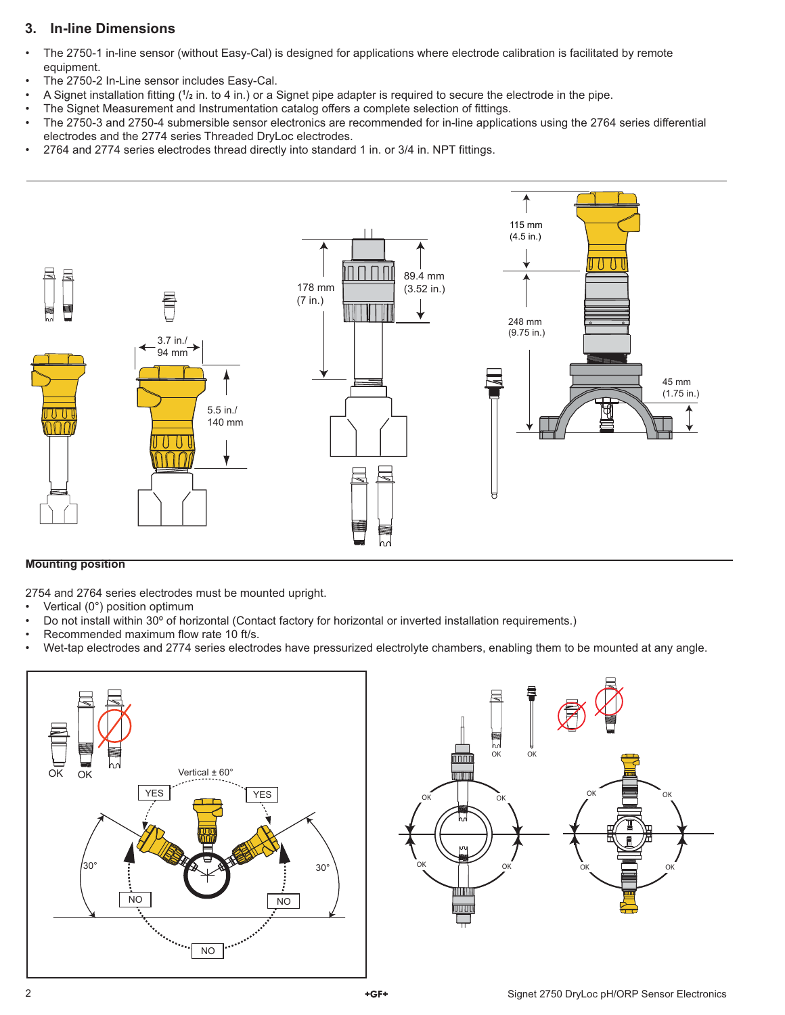# **3. In-line Dimensions**

- The 2750-1 in-line sensor (without Easy-Cal) is designed for applications where electrode calibration is facilitated by remote equipment.
- The 2750-2 In-Line sensor includes Easy-Cal.
- A Signet installation fitting (<sup>1</sup>/<sub>2</sub> in. to 4 in.) or a Signet pipe adapter is required to secure the electrode in the pipe.
- The Signet Measurement and Instrumentation catalog offers a complete selection of fittings.
- The 2750-3 and 2750-4 submersible sensor electronics are recommended for in-line applications using the 2764 series differential electrodes and the 2774 series Threaded DryLoc electrodes.
- 2764 and 2774 series electrodes thread directly into standard 1 in. or 3/4 in. NPT fittings.



### **Mounting position**

2754 and 2764 series electrodes must be mounted upright.

- Vertical (0°) position optimum
- Do not install within 30º of horizontal (Contact factory for horizontal or inverted installation requirements.)
- Recommended maximum flow rate 10 ft/s.
- Wet-tap electrodes and 2774 series electrodes have pressurized electrolyte chambers, enabling them to be mounted at any angle.



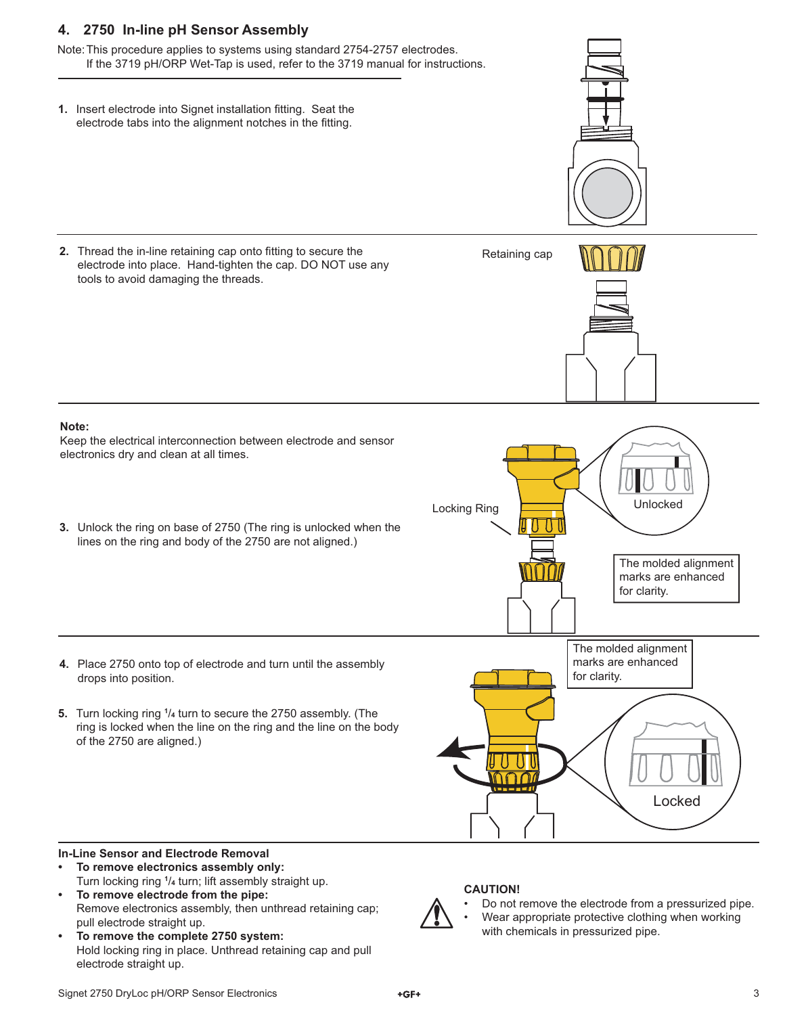# **4. 2750 In-line pH Sensor Assembly**

Note: This procedure applies to systems using standard 2754-2757 electrodes. If the 3719 pH/ORP Wet-Tap is used, refer to the 3719 manual for instructions.

**1.** Insert electrode into Signet installation fitting. Seat the electrode tabs into the alignment notches in the fitting.

**2.** Thread the in-line retaining cap onto fitting to secure the electrode into place. Hand-tighten the cap. DO NOT use any tools to avoid damaging the threads.

**3.** Unlock the ring on base of 2750 (The ring is unlocked when the lines on the ring and body of the 2750 are not aligned.)

Keep the electrical interconnection between electrode and sensor

electronics dry and clean at all times.

**Note:**

- **4.** Place 2750 onto top of electrode and turn until the assembly drops into position.
- **5.** Turn locking ring **<sup>1</sup>** /**4** turn to secure the 2750 assembly. (The ring is locked when the line on the ring and the line on the body of the 2750 are aligned.)



Retaining cap

# **In-Line Sensor and Electrode Removal**

- **To remove electronics assembly only:** Turn locking ring **<sup>1</sup>** /**4** turn; lift assembly straight up.
- **To remove electrode from the pipe:** Remove electronics assembly, then unthread retaining cap; pull electrode straight up.
- **To remove the complete 2750 system:** Hold locking ring in place. Unthread retaining cap and pull electrode straight up.



### **CAUTION!**

- Do not remove the electrode from a pressurized pipe.
- Wear appropriate protective clothing when working with chemicals in pressurized pipe.

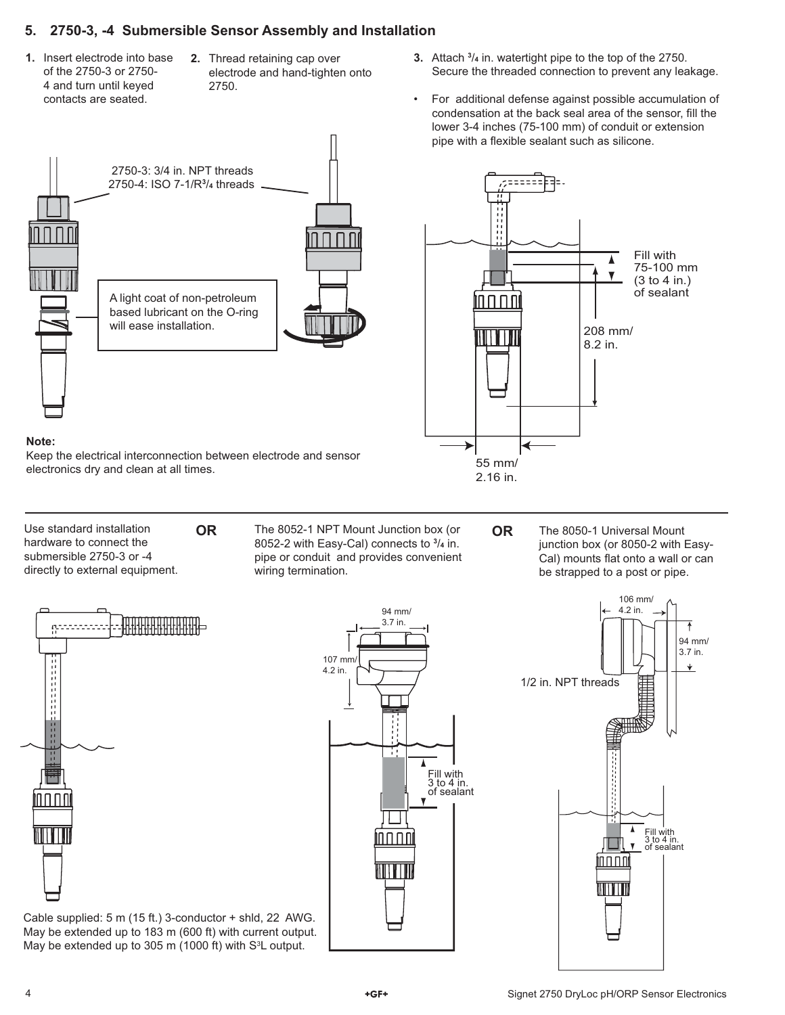## **5. 2750-3, -4 Submersible Sensor Assembly and Installation**

- **1.** Insert electrode into base of the 2750-3 or 2750- 4 and turn until keyed contacts are seated.
- **2.** Thread retaining cap over electrode and hand-tighten onto 2750.



#### **Note:**

Keep the electrical interconnection between electrode and sensor electronics dry and clean at all times.

Use standard installation hardware to connect the submersible 2750-3 or -4 directly to external equipment.

The 8052-1 NPT Mount Junction box (or **OR OR** 8052-2 with Easy-Cal) connects to **<sup>3</sup>** /**4** in. pipe or conduit and provides convenient wiring termination.

The 8050-1 Universal Mount junction box (or 8050-2 with Easy-Cal) mounts flat onto a wall or can be strapped to a post or pipe.



Cable supplied: 5 m (15 ft.) 3-conductor + shld, 22 AWG. May be extended up to 183 m (600 ft) with current output. May be extended up to 305 m (1000 ft) with  $S<sup>3</sup>L$  output.





• For additional defense against possible accumulation of condensation at the back seal area of the sensor, fill the lower 3-4 inches (75-100 mm) of conduit or extension pipe with a flexible sealant such as silicone.

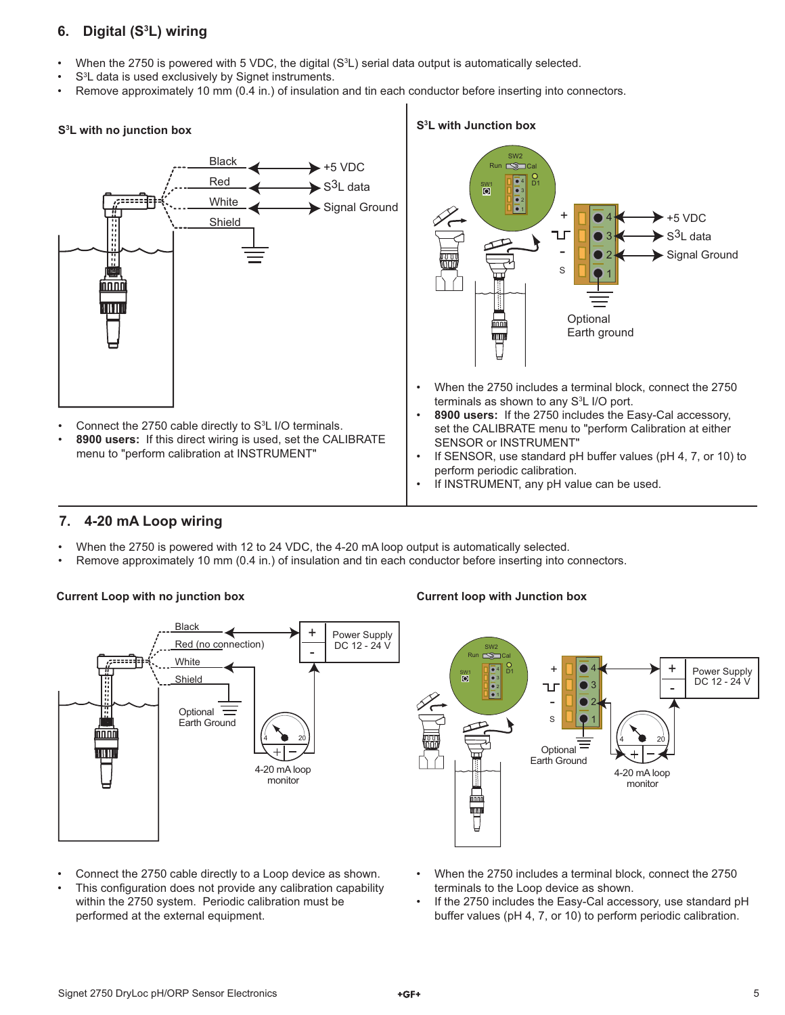# **6. Digital (S3 L) wiring**

- When the 2750 is powered with 5 VDC, the digital (S<sup>3</sup>L) serial data output is automatically selected.
- S<sup>3</sup>L data is used exclusively by Signet instruments.
- Remove approximately 10 mm (0.4 in.) of insulation and tin each conductor before inserting into connectors.



# **7. 4-20 mA Loop wiring**

- When the 2750 is powered with 12 to 24 VDC, the 4-20 mA loop output is automatically selected.
- Remove approximately 10 mm (0.4 in.) of insulation and tin each conductor before inserting into connectors.

#### **Current Loop with no junction box Current loop with Junction box**



- Connect the 2750 cable directly to a Loop device as shown.
- This configuration does not provide any calibration capability within the 2750 system. Periodic calibration must be performed at the external equipment.

#### • When the 2750 includes a terminal block, connect the 2750 terminals to the Loop device as shown.

If the 2750 includes the Easy-Cal accessory, use standard pH buffer values (pH 4, 7, or 10) to perform periodic calibration.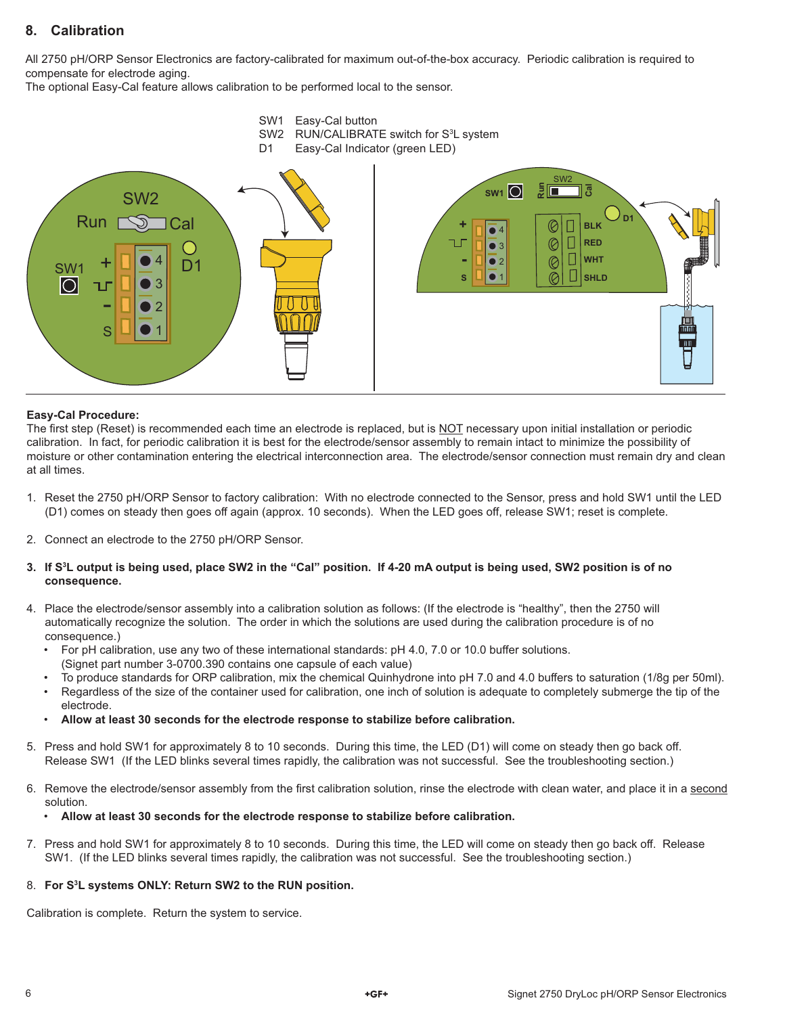# **8. Calibration**

All 2750 pH/ORP Sensor Electronics are factory-calibrated for maximum out-of-the-box accuracy. Periodic calibration is required to compensate for electrode aging.

The optional Easy-Cal feature allows calibration to be performed local to the sensor.



#### **Easy-Cal Procedure:**

The first step (Reset) is recommended each time an electrode is replaced, but is NOT necessary upon initial installation or periodic calibration. In fact, for periodic calibration it is best for the electrode/sensor assembly to remain intact to minimize the possibility of moisture or other contamination entering the electrical interconnection area. The electrode/sensor connection must remain dry and clean at all times.

- 1. Reset the 2750 pH/ORP Sensor to factory calibration: With no electrode connected to the Sensor, press and hold SW1 until the LED (D1) comes on steady then goes off again (approx. 10 seconds). When the LED goes off, release SW1; reset is complete.
- 2. Connect an electrode to the 2750 pH/ORP Sensor.
- **3. If S3 L output is being used, place SW2 in the "Cal" position. If 4-20 mA output is being used, SW2 position is of no consequence.**
- 4. Place the electrode/sensor assembly into a calibration solution as follows: (If the electrode is "healthy", then the 2750 will automatically recognize the solution. The order in which the solutions are used during the calibration procedure is of no consequence.)
	- For pH calibration, use any two of these international standards: pH 4.0, 7.0 or 10.0 buffer solutions. (Signet part number 3-0700.390 contains one capsule of each value)
	- To produce standards for ORP calibration, mix the chemical Quinhydrone into pH 7.0 and 4.0 buffers to saturation (1/8g per 50ml).
	- Regardless of the size of the container used for calibration, one inch of solution is adequate to completely submerge the tip of the electrode.
	- **Allow at least 30 seconds for the electrode response to stabilize before calibration.**
- 5. Press and hold SW1 for approximately 8 to 10 seconds. During this time, the LED (D1) will come on steady then go back off. Release SW1 (If the LED blinks several times rapidly, the calibration was not successful. See the troubleshooting section.)
- 6. Remove the electrode/sensor assembly from the first calibration solution, rinse the electrode with clean water, and place it in a second solution.
	- **Allow at least 30 seconds for the electrode response to stabilize before calibration.**
- 7. Press and hold SW1 for approximately 8 to 10 seconds. During this time, the LED will come on steady then go back off. Release SW1. (If the LED blinks several times rapidly, the calibration was not successful. See the troubleshooting section.)

#### 8. **For S3 L systems ONLY: Return SW2 to the RUN position.**

Calibration is complete. Return the system to service.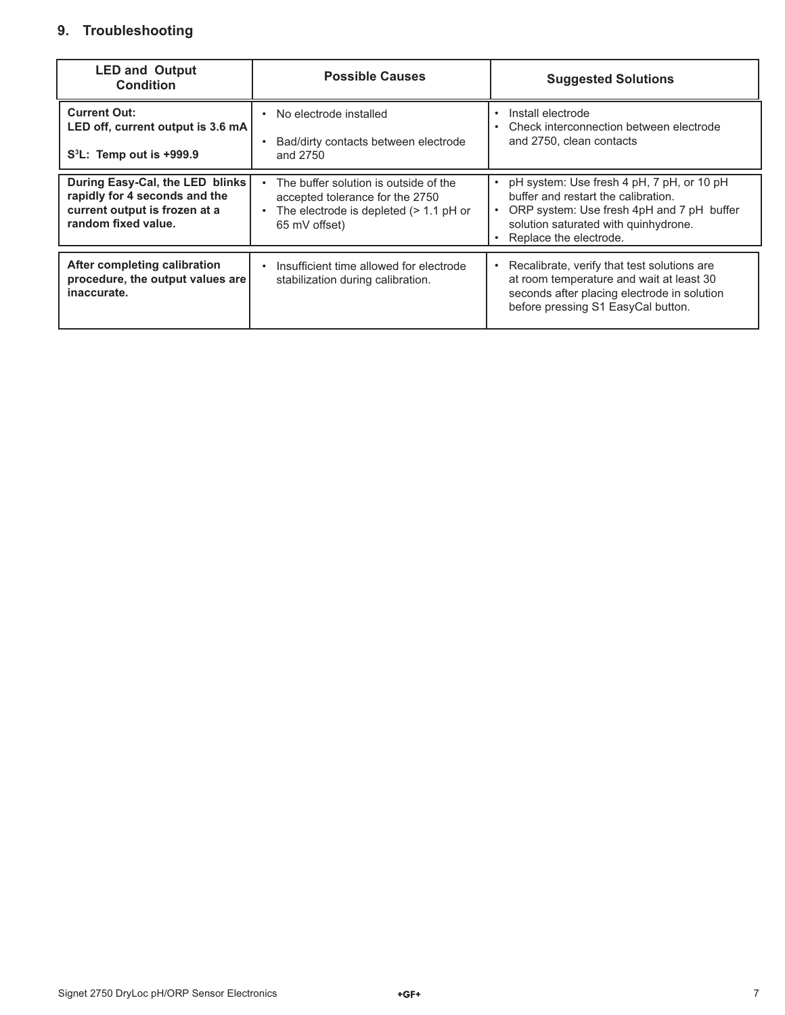# **9. Troubleshooting**

| <b>LED and Output</b><br><b>Condition</b>                                                                                | <b>Possible Causes</b>                                                                                                                | <b>Suggested Solutions</b>                                                                                                                                                                                                |
|--------------------------------------------------------------------------------------------------------------------------|---------------------------------------------------------------------------------------------------------------------------------------|---------------------------------------------------------------------------------------------------------------------------------------------------------------------------------------------------------------------------|
| <b>Current Out:</b><br>LED off, current output is 3.6 mA<br>$S^3L$ : Temp out is +999.9                                  | No electrode installed<br>Bad/dirty contacts between electrode<br>and 2750                                                            | Install electrode<br>$\bullet$<br>Check interconnection between electrode<br>and 2750, clean contacts                                                                                                                     |
| During Easy-Cal, the LED blinks<br>rapidly for 4 seconds and the<br>current output is frozen at a<br>random fixed value. | The buffer solution is outside of the<br>accepted tolerance for the 2750<br>The electrode is depleted $(> 1.1$ pH or<br>65 mV offset) | pH system: Use fresh 4 pH, 7 pH, or 10 pH<br>$\bullet$<br>buffer and restart the calibration.<br>ORP system: Use fresh 4pH and 7 pH buffer<br>$\bullet$<br>solution saturated with quinhydrone.<br>Replace the electrode. |
| After completing calibration<br>procedure, the output values are<br>inaccurate.                                          | Insufficient time allowed for electrode<br>stabilization during calibration.                                                          | Recalibrate, verify that test solutions are<br>$\bullet$<br>at room temperature and wait at least 30<br>seconds after placing electrode in solution<br>before pressing S1 EasyCal button.                                 |